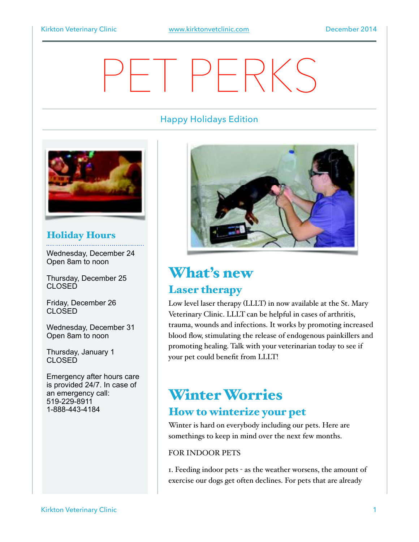

# Happy Holidays Edition



## Holiday Hours

Wednesday, December 24 Open 8am to noon

Thursday, December 25 CLOSED

Friday, December 26 CLOSED

Wednesday, December 31 Open 8am to noon

Thursday, January 1 CLOSED

Emergency after hours care is provided 24/7. In case of an emergency call: 519-229-8911 1-888-443-4184



# What's new

## Laser therapy

Low level laser therapy (LLLT) in now available at the St. Mary Veterinary Clinic. LLLT can be helpful in cases of arthritis, trauma, wounds and infections. It works by promoting increased blood flow, stimulating the release of endogenous painkillers and promoting healing. Talk with your veterinarian today to see if your pet could benefit from LLLT!

# Winter Worries How to winterize your pet

Winter is hard on everybody including our pets. Here are somethings to keep in mind over the next few months.

### FOR INDOOR PETS

1. Feeding indoor pets - as the weather worsens, the amount of exercise our dogs get often declines. For pets that are already